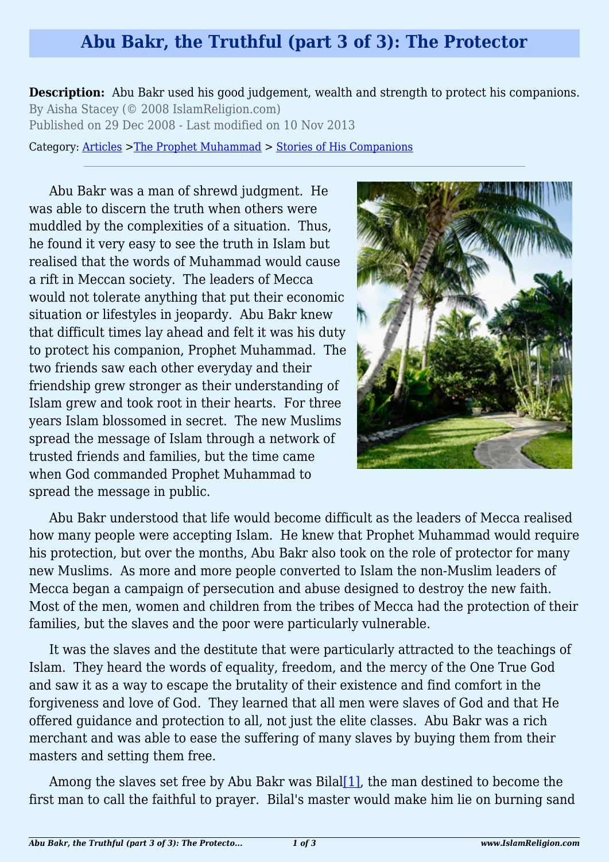## **Abu Bakr, the Truthful (part 3 of 3): The Protector**

**Description:** Abu Bakr used his good judgement, wealth and strength to protect his companions. By Aisha Stacey (© 2008 IslamReligion.com) Published on 29 Dec 2008 - Last modified on 10 Nov 2013

Category: [Articles](http://www.islamreligion.com/articles/) >[The Prophet Muhammad](http://www.islamreligion.com/category/79/) > [Stories of His Companions](http://www.islamreligion.com/category/126/)

Abu Bakr was a man of shrewd judgment. He was able to discern the truth when others were muddled by the complexities of a situation. Thus, he found it very easy to see the truth in Islam but realised that the words of Muhammad would cause a rift in Meccan society. The leaders of Mecca would not tolerate anything that put their economic situation or lifestyles in jeopardy. Abu Bakr knew that difficult times lay ahead and felt it was his duty to protect his companion, Prophet Muhammad. The two friends saw each other everyday and their friendship grew stronger as their understanding of Islam grew and took root in their hearts. For three years Islam blossomed in secret. The new Muslims spread the message of Islam through a network of trusted friends and families, but the time came when God commanded Prophet Muhammad to spread the message in public.



Abu Bakr understood that life would become difficult as the leaders of Mecca realised how many people were accepting Islam. He knew that Prophet Muhammad would require his protection, but over the months, Abu Bakr also took on the role of protector for many new Muslims. As more and more people converted to Islam the non-Muslim leaders of Mecca began a campaign of persecution and abuse designed to destroy the new faith. Most of the men, women and children from the tribes of Mecca had the protection of their families, but the slaves and the poor were particularly vulnerable.

It was the slaves and the destitute that were particularly attracted to the teachings of Islam. They heard the words of equality, freedom, and the mercy of the One True God and saw it as a way to escape the brutality of their existence and find comfort in the forgiveness and love of God. They learned that all men were slaves of God and that He offered guidance and protection to all, not just the elite classes. Abu Bakr was a rich merchant and was able to ease the suffering of many slaves by buying them from their masters and setting them free.

<span id="page-0-0"></span>Among the slaves set free by Abu Bakr was Bilal[\[1\]](#page-2-0), the man destined to become the first man to call the faithful to prayer. Bilal's master would make him lie on burning sand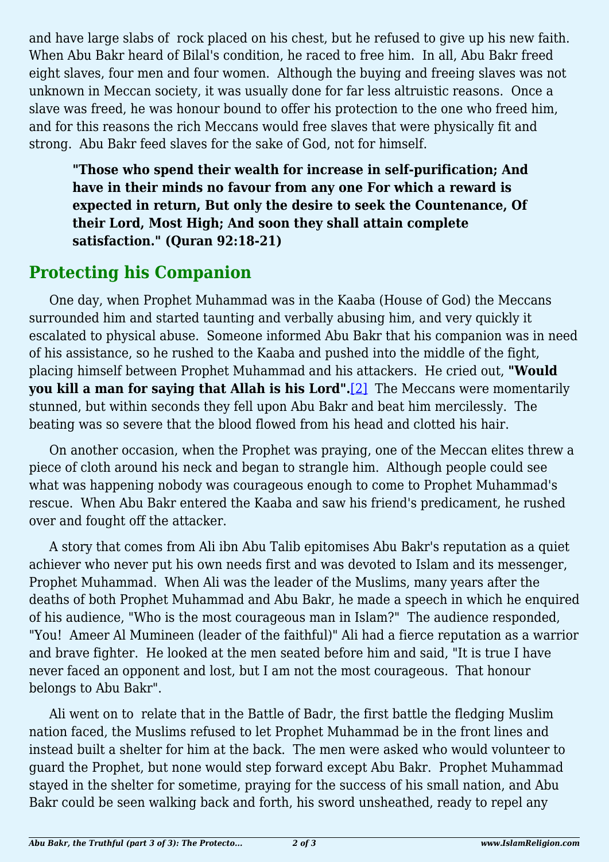and have large slabs of rock placed on his chest, but he refused to give up his new faith. When Abu Bakr heard of Bilal's condition, he raced to free him. In all, Abu Bakr freed eight slaves, four men and four women. Although the buying and freeing slaves was not unknown in Meccan society, it was usually done for far less altruistic reasons. Once a slave was freed, he was honour bound to offer his protection to the one who freed him, and for this reasons the rich Meccans would free slaves that were physically fit and strong. Abu Bakr feed slaves for the sake of God, not for himself.

**"Those who spend their wealth for increase in self-purification; And have in their minds no favour from any one For which a reward is expected in return, But only the desire to seek the Countenance, Of their Lord, Most High; And soon they shall attain complete satisfaction." (Quran 92:18-21)**

## **Protecting his Companion**

One day, when Prophet Muhammad was in the Kaaba (House of God) the Meccans surrounded him and started taunting and verbally abusing him, and very quickly it escalated to physical abuse. Someone informed Abu Bakr that his companion was in need of his assistance, so he rushed to the Kaaba and pushed into the middle of the fight, placing himself between Prophet Muhammad and his attackers. He cried out, **"Would you kill a man for saying that Allah is his Lord".**[\[2\]](#page-2-1) The Meccans were momentarily stunned, but within seconds they fell upon Abu Bakr and beat him mercilessly. The beating was so severe that the blood flowed from his head and clotted his hair.

<span id="page-1-0"></span>On another occasion, when the Prophet was praying, one of the Meccan elites threw a piece of cloth around his neck and began to strangle him. Although people could see what was happening nobody was courageous enough to come to Prophet Muhammad's rescue. When Abu Bakr entered the Kaaba and saw his friend's predicament, he rushed over and fought off the attacker.

A story that comes from Ali ibn Abu Talib epitomises Abu Bakr's reputation as a quiet achiever who never put his own needs first and was devoted to Islam and its messenger, Prophet Muhammad. When Ali was the leader of the Muslims, many years after the deaths of both Prophet Muhammad and Abu Bakr, he made a speech in which he enquired of his audience, "Who is the most courageous man in Islam?" The audience responded, "You! Ameer Al Mumineen (leader of the faithful)" Ali had a fierce reputation as a warrior and brave fighter. He looked at the men seated before him and said, "It is true I have never faced an opponent and lost, but I am not the most courageous. That honour belongs to Abu Bakr".

Ali went on to relate that in the Battle of Badr, the first battle the fledging Muslim nation faced, the Muslims refused to let Prophet Muhammad be in the front lines and instead built a shelter for him at the back. The men were asked who would volunteer to guard the Prophet, but none would step forward except Abu Bakr. Prophet Muhammad stayed in the shelter for sometime, praying for the success of his small nation, and Abu Bakr could be seen walking back and forth, his sword unsheathed, ready to repel any